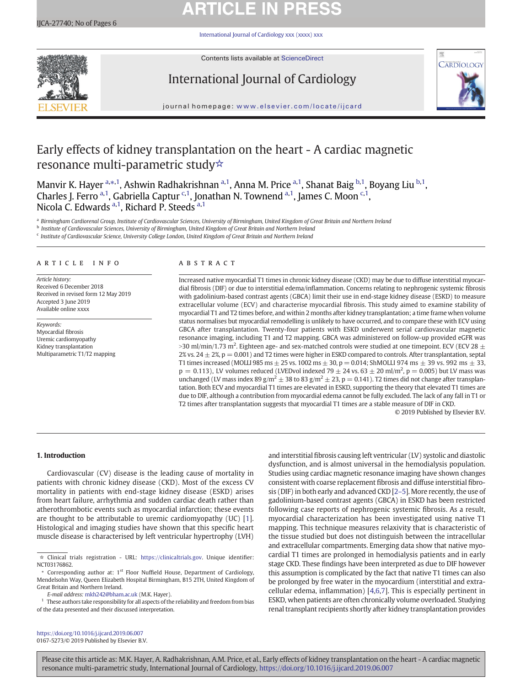# **ARTICLE IN PRESS**

[International Journal of Cardiology xxx \(xxxx\) xxx](https://doi.org/10.1016/j.ijcard.2019.06.007)



Contents lists available at [ScienceDirect](http://www.sciencedirect.com/science/journal/)

# International Journal of Cardiology



journal homepage: <www.elsevier.com/locate/ijcard>

# Early effects of kidney transplantation on the heart - A cardiac magnetic resonance multi-parametric study☆

Manvir K. Hayer <sup>a,\*,1</sup>, Ashwin Radhakrishnan <sup>a,1</sup>, Anna M. Price <sup>a,1</sup>, Shanat Baig <sup>b,1</sup>, Boyang Liu <sup>b,1</sup>, Charles J. Ferro <sup>a, 1</sup>, Gabriella Captur <sup>c, 1</sup>, Jonathan N. Townend <sup>a, 1</sup>, James C. Moon <sup>c, 1</sup>, Nicola C. Edwards <sup>a,1</sup>, Richard P. Steeds <sup>a,1</sup>

a Birmingham Cardiorenal Group, Institute of Cardiovascular Sciences, University of Birmingham, United Kingdom of Great Britain and Northern Ireland

**b** Institute of Cardiovascular Sciences, University of Birmingham, United Kingdom of Great Britain and Northern Ireland

 $c$  Institute of Cardiovascular Science, University College London, United Kingdom of Great Britain and Northern Ireland

# article info abstract

Article history: Received 6 December 2018 Received in revised form 12 May 2019 Accepted 3 June 2019 Available online xxxx

Keywords: Myocardial fibrosis Uremic cardiomyopathy Kidney transplantation Multiparametric T1/T2 mapping

Increased native myocardial T1 times in chronic kidney disease (CKD) may be due to diffuse interstitial myocardial fibrosis (DIF) or due to interstitial edema/inflammation. Concerns relating to nephrogenic systemic fibrosis with gadolinium-based contrast agents (GBCA) limit their use in end-stage kidney disease (ESKD) to measure extracellular volume (ECV) and characterise myocardial fibrosis. This study aimed to examine stability of myocardial T1 and T2 times before, and within 2 months after kidney transplantation; a time frame when volume status normalises but myocardial remodelling is unlikely to have occurred, and to compare these with ECV using GBCA after transplantation. Twenty-four patients with ESKD underwent serial cardiovascular magnetic resonance imaging, including T1 and T2 mapping. GBCA was administered on follow-up provided eGFR was >30 ml/min/1.73 m<sup>2</sup>. Eighteen age- and sex-matched controls were studied at one timepoint. ECV (ECV 28  $\pm$ 2% vs. 24  $\pm$  2%, p = 0.001) and T2 times were higher in ESKD compared to controls. After transplantation, septal T1 times increased (MOLLI 985 ms  $\pm$  25 vs. 1002 ms  $\pm$  30, p = 0.014; ShMOLLI 974 ms  $\pm$  39 vs. 992 ms  $\pm$  33,  $p = 0.113$ ), LV volumes reduced (LVEDvol indexed 79  $\pm$  24 vs. 63  $\pm$  20 ml/m<sup>2</sup>,  $p = 0.005$ ) but LV mass was unchanged (LV mass index 89 g/m<sup>2</sup>  $\pm$  38 to 83 g/m<sup>2</sup>  $\pm$  23, p = 0.141). T2 times did not change after transplantation. Both ECV and myocardial T1 times are elevated in ESKD, supporting the theory that elevated T1 times are due to DIF, although a contribution from myocardial edema cannot be fully excluded. The lack of any fall in T1 or T2 times after transplantation suggests that myocardial T1 times are a stable measure of DIF in CKD.

© 2019 Published by Elsevier B.V.

# 1. Introduction

Cardiovascular (CV) disease is the leading cause of mortality in patients with chronic kidney disease (CKD). Most of the excess CV mortality in patients with end-stage kidney disease (ESKD) arises from heart failure, arrhythmia and sudden cardiac death rather than atherothrombotic events such as myocardial infarction; these events are thought to be attributable to uremic cardiomyopathy (UC) [\[1\]](#page-4-0). Histological and imaging studies have shown that this specific heart muscle disease is characterised by left ventricular hypertrophy (LVH)

E-mail address: <mkh242@bham.ac.uk> (M.K. Hayer).

dysfunction, and is almost universal in the hemodialysis population. Studies using cardiac magnetic resonance imaging have shown changes consistent with coarse replacement fibrosis and diffuse interstitial fibrosis (DIF) in both early and advanced CKD [2–[5\]](#page-4-0). More recently, the use of gadolinium-based contrast agents (GBCA) in ESKD has been restricted following case reports of nephrogenic systemic fibrosis. As a result, myocardial characterization has been investigated using native T1 mapping. This technique measures relaxivity that is characteristic of the tissue studied but does not distinguish between the intracellular and extracellular compartments. Emerging data show that native myocardial T1 times are prolonged in hemodialysis patients and in early stage CKD. These findings have been interpreted as due to DIF however this assumption is complicated by the fact that native T1 times can also be prolonged by free water in the myocardium (interstitial and extracellular edema, inflammation) [[4,6](#page-4-0),[7\]](#page-4-0). This is especially pertinent in ESKD, when patients are often chronically volume overloaded. Studying renal transplant recipients shortly after kidney transplantation provides

and interstitial fibrosis causing left ventricular (LV) systolic and diastolic

<https://doi.org/10.1016/j.ijcard.2019.06.007> 0167-5273/© 2019 Published by Elsevier B.V.

<sup>☆</sup> Clinical trials registration - URL: [https://clinicaltrials.gov.](https://clinicaltrials.gov) Unique identifier: NCT03176862.

Corresponding author at:  $1<sup>st</sup>$  Floor Nuffield House, Department of Cardiology, Mendelsohn Way, Queen Elizabeth Hospital Birmingham, B15 2TH, United Kingdom of Great Britain and Northern Ireland.

 $^{\rm 1} \,$  These authors take responsibility for all aspects of the reliability and freedom from bias of the data presented and their discussed interpretation.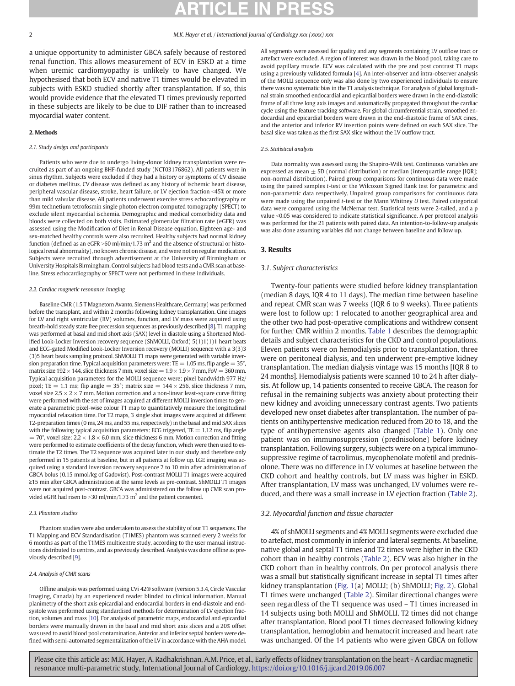a unique opportunity to administer GBCA safely because of restored renal function. This allows measurement of ECV in ESKD at a time when uremic cardiomyopathy is unlikely to have changed. We hypothesised that both ECV and native T1 times would be elevated in subjects with ESKD studied shortly after transplantation. If so, this would provide evidence that the elevated T1 times previously reported in these subjects are likely to be due to DIF rather than to increased myocardial water content.

# 2. Methods

# 2.1. Study design and participants

Patients who were due to undergo living-donor kidney transplantation were recruited as part of an ongoing BHF-funded study (NCT03176862). All patients were in sinus rhythm. Subjects were excluded if they had a history or symptoms of CV disease or diabetes mellitus. CV disease was defined as any history of ischemic heart disease, peripheral vascular disease, stroke, heart failure, or LV ejection fraction <45% or more than mild valvular disease. All patients underwent exercise stress echocardiography or 99m technetium tetrofosmin single photon electron computed tomography (SPECT) to exclude silent myocardial ischemia. Demographic and medical comorbidity data and bloods were collected on both visits. Estimated glomerular filtration rate (eGFR) was assessed using the Modification of Diet in Renal Disease equation. Eighteen age- and sex-matched healthy controls were also recruited. Healthy subjects had normal kidney function (defined as an eGFR >60 ml/min/1.73 m<sup>2</sup> and the absence of structural or histological renal abnormality), no known chronic disease, and were not on regular medication. Subjects were recruited through advertisement at the University of Birmingham or University Hospitals Birmingham. Control subjects had blood tests and a CMR scan at baseline. Stress echocardiography or SPECT were not performed in these individuals.

# 2.2. Cardiac magnetic resonance imaging

Baseline CMR (1.5 T Magnetom Avanto, Siemens Healthcare, Germany) was performed before the transplant, and within 2 months following kidney transplantation. Cine images for LV and right ventricular (RV) volumes, function, and LV mass were acquired using breath-hold steady state free precession sequences as previously described [\[8\]](#page-4-0). T1 mapping was performed at basal and mid short axis (SAX) level in diastole using a Shortened Modified Look-Locker Inversion recovery sequence (ShMOLLI, Oxford) 5(1)1(1)1 heart beats and ECG-gated Modified Look-Locker Inversion recovery (MOLLI) sequence with a 3(3)3 (3)5 heart beats sampling protocol. ShMOLLI T1 maps were generated with variable inversion preparation time. Typical acquisition parameters were: TE = 1.05 ms, flip angle =  $35^{\circ}$ , matrix size  $192 \times 144$ , slice thickness 7 mm, voxel size  $= 1.9 \times 1.9 \times 7$  mm, FoV  $= 360$  mm. Typical acquisition parameters for the MOLLI sequence were: pixel bandwidth 977 Hz/ pixel; TE = 1.1 ms; flip angle =  $35^{\circ}$ ; matrix size =  $144 \times 256$ , slice thickness 7 mm, voxel size  $2.5 \times 2 \times 7$  mm. Motion correction and a non-linear least-square curve fitting were performed with the set of images acquired at different MOLLI inversion times to generate a parametric pixel-wise colour T1 map to quantitatively measure the longitudinal myocardial relaxation time. For T2 maps, 3 single shot images were acquired at different T2-preparation times (0 ms, 24 ms, and 55 ms, respectively) in the basal and mid SAX slices with the following typical acquisition parameters: ECG triggered,  $TE = 1.12$  ms, flip angle = 70°, voxel size:  $2.2 \times 1.8 \times 6.0$  mm, slice thickness 6 mm. Motion correction and fitting were performed to estimate coefficients of the decay function, which were then used to estimate the T2 times. The T2 sequence was acquired later in our study and therefore only performed in 15 patients at baseline, but in all patients at follow up. LGE imaging was acquired using a standard inversion recovery sequence 7 to 10 min after administration of GBCA bolus (0.15 mmol/kg of Gadovist). Post-contrast MOLLI T1 images were acquired ≥15 min after GBCA administration at the same levels as pre-contrast. ShMOLLI T1 images were not acquired post-contrast. GBCA was administered on the follow up CMR scan provided eGFR had risen to > 30 ml/min/1.73 m<sup>2</sup> and the patient consented.

# 2.3. Phantom studies

Phantom studies were also undertaken to assess the stability of our T1 sequences. The T1 Mapping and ECV Standardisation (T1MES) phantom was scanned every 2 weeks for 6 months as part of the T1MES multicentre study, according to the user manual instructions distributed to centres, and as previously described. Analysis was done offline as previously described [[9](#page-4-0)].

# 2.4. Analysis of CMR scans

Offline analysis was performed using CVi 42® software (version 5.3.4, Circle Vascular Imaging, Canada) by an experienced reader blinded to clinical information. Manual planimetry of the short axis epicardial and endocardial borders in end-diastole and endsystole was performed using standardised methods for determination of LV ejection fraction, volumes and mass [\[10](#page-4-0)]. For analysis of parametric maps, endocardial and epicardial borders were manually drawn in the basal and mid short axis slices and a 20% offset was used to avoid blood pool contamination. Anterior and inferior septal borders were defined with semi-automated segmentalization of the LV in accordance with the AHA model. All segments were assessed for quality and any segments containing LV outflow tract or artefact were excluded. A region of interest was drawn in the blood pool, taking care to avoid papillary muscle. ECV was calculated with the pre and post contrast T1 maps using a previously validated formula [[4](#page-4-0)]. An inter-observer and intra-observer analysis of the MOLLI sequence only was also done by two experienced individuals to ensure there was no systematic bias in the T1 analysis technique. For analysis of global longitudinal strain smoothed endocardial and epicardial borders were drawn in the end-diastolic frame of all three long axis images and automatically propagated throughout the cardiac cycle using the feature tracking software. For global circumferential strain, smoothed endocardial and epicardial borders were drawn in the end-diastolic frame of SAX cines, and the anterior and inferior RV insertion points were defined on each SAX slice. The basal slice was taken as the first SAX slice without the LV outflow tract.

# 2.5. Statistical analysis

Data normality was assessed using the Shapiro-Wilk test. Continuous variables are expressed as mean  $\pm$  SD (normal distribution) or median (interquartile range [IQR]; non-normal distribution). Paired group comparisons for continuous data were made using the paired samples t-test or the Wilcoxon Signed Rank test for parametric and non-parametric data respectively. Unpaired group comparisons for continuous data were made using the unpaired t-test or the Mann Whitney U test. Paired categorical data were compared using the McNemar test. Statistical tests were 2-tailed, and a p value b0.05 was considered to indicate statistical significance. A per protocol analysis was performed for the 21 patients with paired data. An intention-to-follow-up analysis was also done assuming variables did not change between baseline and follow up.

### 3. Results

## 3.1. Subject characteristics

Twenty-four patients were studied before kidney transplantation (median 8 days, IQR 4 to 11 days). The median time between baseline and repeat CMR scan was 7 weeks (IQR 6 to 9 weeks). Three patients were lost to follow up: 1 relocated to another geographical area and the other two had post-operative complications and withdrew consent for further CMR within 2 months. [Table 1](#page-2-0) describes the demographic details and subject characteristics for the CKD and control populations. Eleven patients were on hemodialysis prior to transplantation, three were on peritoneal dialysis, and ten underwent pre-emptive kidney transplantation. The median dialysis vintage was 15 months [IQR 8 to 24 months]. Hemodialysis patients were scanned 10 to 24 h after dialysis. At follow up, 14 patients consented to receive GBCA. The reason for refusal in the remaining subjects was anxiety about protecting their new kidney and avoiding unnecessary contrast agents. Two patients developed new onset diabetes after transplantation. The number of patients on antihypertensive medication reduced from 20 to 18, and the type of antihypertensive agents also changed ([Table 1](#page-2-0)). Only one patient was on immunosuppression (prednisolone) before kidney transplantation. Following surgery, subjects were on a typical immunosuppressive regime of tacrolimus, mycophenolate mofetil and prednisolone. There was no difference in LV volumes at baseline between the CKD cohort and healthy controls, but LV mass was higher in ESKD. After transplantation, LV mass was unchanged, LV volumes were reduced, and there was a small increase in LV ejection fraction [\(Table 2\)](#page-2-0).

# 3.2. Myocardial function and tissue character

4% of shMOLLI segments and 4% MOLLI segments were excluded due to artefact, most commonly in inferior and lateral segments. At baseline, native global and septal T1 times and T2 times were higher in the CKD cohort than in healthy controls [\(Table 2\)](#page-2-0). ECV was also higher in the CKD cohort than in healthy controls. On per protocol analysis there was a small but statistically significant increase in septal T1 times after kidney transplantation ([Fig. 1\(](#page-3-0)a) MOLLI; (b) ShMOLLI; [Fig. 2\)](#page-4-0). Global T1 times were unchanged [\(Table 2](#page-2-0)). Similar directional changes were seen regardless of the T1 sequence was used – T1 times increased in 14 subjects using both MOLLI and ShMOLLI. T2 times did not change after transplantation. Blood pool T1 times decreased following kidney transplantation, hemoglobin and hematocrit increased and heart rate was unchanged. Of the 14 patients who were given GBCA on follow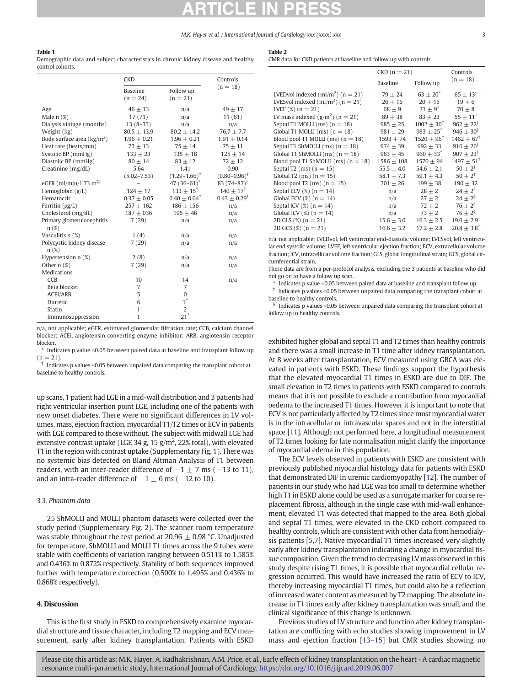### <span id="page-2-0"></span>Table 1

Demographic data and subject characteristics in chronic kidney disease and healthy control cohorts.

### $\overline{CKD}$  Controls<br>  $(n = 18)$  $\overline{\text{Baseline}}$  Follow up  $(n = 18)$  $(n = 24)$  $(n = 21)$ Age  $46 \pm 13$   $n/a$   $49 \pm 17$ Male n (%) 17 (71) n/a 11 (61) Dialysis vintage (months) 13 (8–33) n/a n/a Weight (kg) 80.5  $\pm$  13.9 80.2  $\pm$  14.2 76.7  $\pm$  7.7 Body surface area  $\frac{\text{kg}}{m^2}$  $1.96 \pm 0.21$   $1.96 \pm 0.21$   $1.91 \pm 0.14$ <br>  $73 \pm 13$   $75 \pm 14$   $75 \pm 11$ Heat rate (beats/min) Systolic BP (mmHg)  $133 + 23$   $135 + 18$   $125 + 14$ Diastolic BP (mmHg)  $80 \pm 14$   $83 \pm 12$   $72 \pm 12$ Creatinine (mg/dL) 5.64 (5.02–7.53) 1.41  $(1.29-1.66)^*$ <br>47 (36-61)<sup>\*</sup> 0.90  $(0.80 - 0.96)$ <sup>†</sup> eGFR (ml/min/1.73 m<sup>2)</sup> – 47 (36–61)<sup>\*</sup> 83 (74–87)<sup>\*</sup> Hemoglobin (g/L)  $124 \pm 17$   $133 \pm 15^*$   $140 \pm 17^{\dagger}$ <br>
Hematocrit  $0.37 \pm 0.05$   $0.40 \pm 0.04^*$   $0.43 \pm 0.29^{\dagger}$  $0.40 \pm 0.04$ <sup>\*</sup> Ferritin (μg/L)  $257 \pm 162$   $186 \pm 156$  n/a<br>Cholesterol (mg/dL)  $187 + 036$   $195 + 46$  n/a Cholesterol (mg/dL)  $187 + 036$   $195 + 46$  n/a Primary glomerulonephritis n (%) 7 (29) n/a n/a Vasculitis n  $(\%)$  1 (4) n/a n/a n/a Polycystic kidney disease n (%) 7 (29) n/a n/a Hypertension n (%) 2 (8) n/a n/a Other n  $\binom{1}{2}$  7 (29) and  $\binom{1}{4}$  n/a Medications  $CCB$  10 14 n/a Beta blocker 7 7 ACEI/ARB 5 0<br>Diuretic 6 1<sup>\*</sup> Diuretic Statin 2 Immunosuppression 1 21<sup> $\degree$ </sup>

n/a, not applicable; eGFR, estimated glomerular filtration rate; CCB, calcium channel blocker; ACEi, angiotensin converting enzyme inhibitor; ARB, angiotensin receptor blocker.

Indicates p value <0.05 between paired data at baseline and transplant follow up  $(n = 21)$ .

 $\dagger$  Indicates p values < 0.05 between unpaired data comparing the transplant cohort at baseline to healthy controls.

up scans, 1 patient had LGE in a mid-wall distribution and 3 patients had right ventricular insertion point LGE, including one of the patients with new onset diabetes. There were no significant differences in LV volumes, mass, ejection fraction, myocardial T1/T2 times or ECV in patients with LGE compared to those without. The subject with midwall LGE had extensive contrast uptake (LGE 34 g, 15  $\rm g/m^2$ , 22% total), with elevated T1 in the region with contrast uptake (Supplementary Fig. 1). There was no systemic bias detected on Bland Altman Analysis of T1 between readers, with an inter-reader difference of  $-1 \pm 7$  ms ( $-13$  to 11), and an intra-reader difference of  $-1 \pm 6$  ms ( $-12$  to 10).

# 3.3. Phantom data

25 ShMOLLI and MOLLI phantom datasets were collected over the study period (Supplementary Fig. 2). The scanner room temperature was stable throughout the test period at 20.96  $\pm$  0.98 °C. Unadjusted for temperature, ShMOLLI and MOLLI T1 times across the 9 tubes were stable with coefficients of variation ranging between 0.511% to 1.585% and 0.436% to 0.872% respectively. Stability of both sequences improved further with temperature correction (0.500% to 1.495% and 0.436% to 0.868% respectively).

# 4. Discussion

This is the first study in ESKD to comprehensively examine myocardial structure and tissue character, including T2 mapping and ECV measurement, early after kidney transplantation. Patients with ESKD

# Table 2

CMR data for CKD patients at baseline and follow up with controls.

|                                             | $CKD(n = 21)$  |                           | Controls                  |
|---------------------------------------------|----------------|---------------------------|---------------------------|
|                                             | Baseline       | Follow up                 | $(n = 18)$                |
| LVED vol indexed $\text{(ml/m}^2)$ (n = 21) | $79 + 24$      | $63 + 20^*$               | $65 + 13^{\dagger}$       |
| LVESvol indexed $\text{(ml/m}^2)$ (n = 21)  | $26 \pm 16$    | $20 \pm 15$               | $19 + 6$                  |
| LVEF $(\%)$ (n = 21)                        | $68 + 9$       | $73 + 9^*$                | $70 + 8$                  |
| LV mass indexed $(g/m^2)$ (n = 21)          | $89 \pm 38$    | $83 + 23$                 | $55 + 11^{\dagger}$       |
| Septal T1 MOLLI (ms) $(n = 18)$             | $985 + 25$     | $1002 + 30^*$             | $962 + 22^{\dagger}$      |
| Global T1 MOLLI (ms) $(n = 18)$             | $981 \pm 29$   | $983 \pm 25$ <sup>*</sup> | $946 \pm 30^{\dagger}$    |
| Blood pool T1 MOLLI (ms) $(n = 18)$         | $1593 + 74$    | $1520 + 96^*$             | $1462 + 67^{\dagger}$     |
| Septal T1 ShMOLLI (ms) $(n = 18)$           | $974 + 39$     | $992 + 33$                | $916 + 20^{\dagger}$      |
| Global T1 ShMOLLI (ms) $(n = 18)$           | $963 \pm 45$   | $960 \pm 33$ <sup>*</sup> | $907 \pm 23^{\dagger}$    |
| Blood pool T1 ShMOLLI (ms) $(n = 18)$       | $1586 \pm 108$ | $1570 + 94$               | $1497 + 51^{\dagger}$     |
| Septal T2 (ms) $(n = 15)$                   | $55.5 \pm 4.0$ | $54.6 + 2.1$              | $50 + 2^{t}$              |
| Global T2 (ms) $(n = 15)$                   | $58.1 + 7.3$   | $59.1 + 4.3$              | $50 + 2^{\dagger}$        |
| Blood pool T2 (ms) $(n = 15)$               | $201 \pm 26$   | $199 + 38$                | $190 \pm 32$              |
| Septal ECV $(\%)$ (n = 14)                  | n/a            | $28 \pm 2$                | $24 \pm 2^8$              |
| Global ECV $(\%)$ (n = 14)                  | n/a            | $27 + 2$                  | $24 \pm 2^{\frac{6}{9}}$  |
| Septal ICV $(\%)$ (n = 14)                  | n/a            | $72 + 2$                  | $76 \pm 2^{\circ}$        |
| Global ICV $(\%)$ (n = 14)                  | n/a            | $73 \pm 2$                | $76 \pm 2^{\overline{8}}$ |
| 2D GLS $(\%)$ (n = 21)                      | $15.6 \pm 3.0$ | $16.3 \pm 2.5$            | $19.0 \pm 2.9^{\dagger}$  |
| 2D GCS $(\%)$ (n = 21)                      | $16.6 + 3.2$   | $17.2 \pm 2.8$            | $20.8 + 3.8$ <sup>†</sup> |

n/a, not applicable; LVEDvol, left ventricular end-diastolic volume; LVESvol, left ventricular end systolic volume; LVEF, left ventricular ejection fraction; ECV, extracellular volume fraction; ICV, intracellular volume fraction; GLS, global longitudinal strain; GCS, global circumferential strain.

These data are from a per-protocol analysis, excluding the 3 patients at baseline who did not go on to have a follow up scan.

Indicates p value < 0.05 between paired data at baseline and transplant follow up.  $\dagger$  Indicates p values <0.05 between unpaired data comparing the transplant cohort at

baseline to healthy controls.  $§$  Indicates p values < 0.05 between unpaired data comparing the transplant cohort at

follow up to healthy controls.

exhibited higher global and septal T1 and T2 times than healthy controls and there was a small increase in T1 time after kidney transplantation. At 8 weeks after transplantation, ECV measured using GBCA was elevated in patients with ESKD. These findings support the hypothesis that the elevated myocardial T1 times in ESKD are due to DIF. The small elevation in T2 times in patients with ESKD compared to controls means that it is not possible to exclude a contribution from myocardial oedema to the increased T1 times. However it is important to note that ECV is not particularly affected by T2 times since most myocardial water is in the intracellular or intravascular spaces and not in the interstitial space [\[11](#page-5-0)]. Although not performed here, a longitudinal measurement of T2 times looking for late normalisation might clarify the importance of myocardial edema in this population.

The ECV levels observed in patients with ESKD are consistent with previously published myocardial histology data for patients with ESKD that demonstrated DIF in uremic cardiomyopathy [\[12](#page-5-0)]. The number of patients in our study who had LGE was too small to determine whether high T1 in ESKD alone could be used as a surrogate marker for coarse replacement fibrosis, although in the single case with mid-wall enhancement, elevated T1 was detected that mapped to the area. Both global and septal T1 times, were elevated in the CKD cohort compared to healthy controls, which are consistent with other data from hemodialysis patients [\[5,7](#page-4-0)]. Native myocardial T1 times increased very slightly early after kidney transplantation indicating a change in myocardial tissue composition. Given the trend to decreasing LV mass observed in this study despite rising T1 times, it is possible that myocardial cellular regression occurred. This would have increased the ratio of ECV to ICV, thereby increasing myocardial T1 times, but could also be a reflection of increased water content as measured by T2 mapping. The absolute increase in T1 times early after kidney transplantation was small, and the clinical significance of this change is unknown.

Previous studies of LV structure and function after kidney transplantation are conflicting with echo studies showing improvement in LV mass and ejection fraction [\[13](#page-5-0)–15] but CMR studies showing no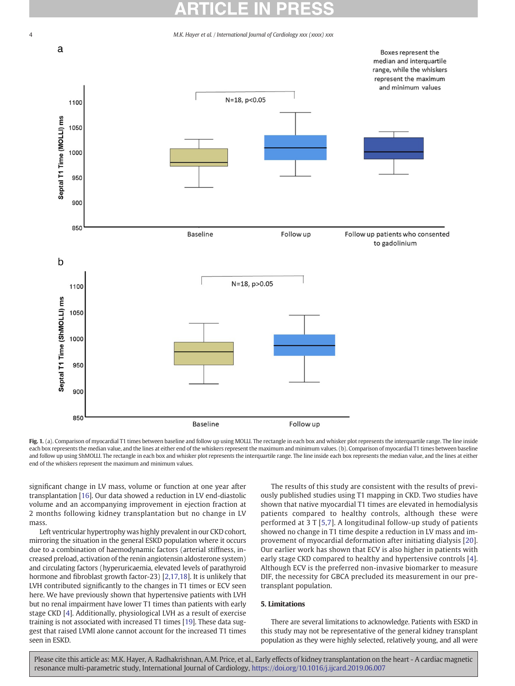

Fig. 1. (a). Comparison of myocardial T1 times between baseline and follow up using MOLLI. The rectangle in each box and whisker plot represents the interquartile range. The line inside each box represents the median value, and the lines at either end of the whiskers represent the maximum and minimum values. (b). Comparison of myocardial T1 times between baseline and follow up using ShMOLLI. The rectangle in each box and whisker plot represents the interquartile range. The line inside each box represents the median value, and the lines at either end of the whiskers represent the maximum and minimum values.

significant change in LV mass, volume or function at one year after transplantation [\[16](#page-5-0)]. Our data showed a reduction in LV end-diastolic volume and an accompanying improvement in ejection fraction at 2 months following kidney transplantation but no change in LV mass.

Left ventricular hypertrophy was highly prevalent in our CKD cohort, mirroring the situation in the general ESKD population where it occurs due to a combination of haemodynamic factors (arterial stiffness, increased preload, activation of the renin angiotensin aldosterone system) and circulating factors (hyperuricaemia, elevated levels of parathyroid hormone and fibroblast growth factor-23) [[2](#page-4-0)[,17](#page-5-0),[18\]](#page-5-0). It is unlikely that LVH contributed significantly to the changes in T1 times or ECV seen here. We have previously shown that hypertensive patients with LVH but no renal impairment have lower T1 times than patients with early stage CKD [\[4\]](#page-4-0). Additionally, physiological LVH as a result of exercise training is not associated with increased T1 times [[19\]](#page-5-0). These data suggest that raised LVMI alone cannot account for the increased T1 times seen in ESKD.

The results of this study are consistent with the results of previously published studies using T1 mapping in CKD. Two studies have shown that native myocardial T1 times are elevated in hemodialysis patients compared to healthy controls, although these were performed at 3 T [[5](#page-4-0),[7](#page-4-0)]. A longitudinal follow-up study of patients showed no change in T1 time despite a reduction in LV mass and improvement of myocardial deformation after initiating dialysis [[20\]](#page-5-0). Our earlier work has shown that ECV is also higher in patients with early stage CKD compared to healthy and hypertensive controls [\[4\]](#page-4-0). Although ECV is the preferred non-invasive biomarker to measure DIF, the necessity for GBCA precluded its measurement in our pretransplant population.

# 5. Limitations

There are several limitations to acknowledge. Patients with ESKD in this study may not be representative of the general kidney transplant population as they were highly selected, relatively young, and all were

<span id="page-3-0"></span>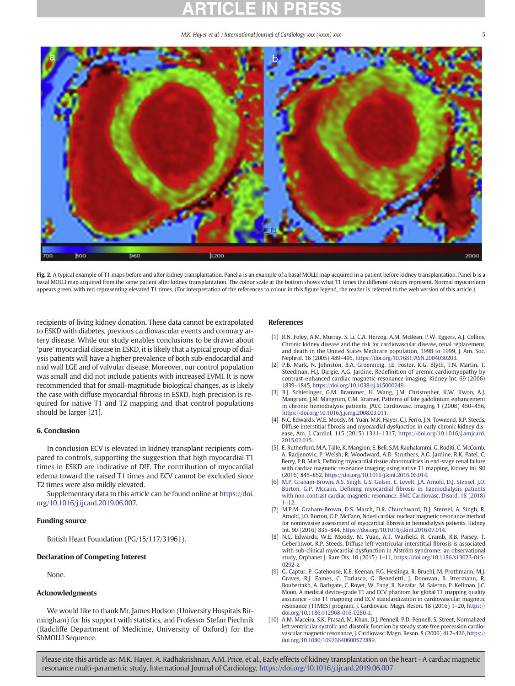<span id="page-4-0"></span>

Fig. 2. A typical example of T1 maps before and after kidney transplantation. Panel a is an example of a basal MOLLI map acquired in a patient before kidney transplantation. Panel b is a basal MOLLI map acquired from the same patient after kidney transplantation. The colour scale at the bottom shows what T1 times the different colours represent. Normal myocardium appears green, with red representing elevated T1 times. (For interpretation of the references to colour in this figure legend, the reader is referred to the web version of this article.)

recipients of living kidney donation. These data cannot be extrapolated to ESKD with diabetes, previous cardiovascular events and coronary artery disease. While our study enables conclusions to be drawn about 'pure' myocardial disease in ESKD, it is likely that a typical group of dialysis patients will have a higher prevalence of both sub-endocardial and mid wall LGE and of valvular disease. Moreover, our control population was small and did not include patients with increased LVMI. It is now recommended that for small-magnitude biological changes, as is likely the case with diffuse myocardial fibrosis in ESKD, high precision is required for native T1 and T2 mapping and that control populations should be larger [[21\]](#page-5-0).

## 6. Conclusion

In conclusion ECV is elevated in kidney transplant recipients compared to controls, supporting the suggestion that high myocardial T1 times in ESKD are indicative of DIF. The contribution of myocardial edema toward the raised T1 times and ECV cannot be excluded since T2 times were also mildly elevated.

Supplementary data to this article can be found online at [https://doi.](https://doi.org/10.1016/j.ijcard.2019.06.007) [org/10.1016/j.ijcard.2019.06.007](https://doi.org/10.1016/j.ijcard.2019.06.007).

# Funding source

British Heart Foundation (PG/15/117/31961).

# Declaration of Competing Interest

None.

# Acknowledgments

We would like to thank Mr. James Hodson (University Hospitals Birmingham) for his support with statistics, and Professor Stefan Piechnik (Radcliffe Department of Medicine, University of Oxford) for the ShMOLLI Sequence.

## References

- [1] R.N. Foley, A.M. Murray, S. Li, C.A. Herzog, A.M. McBean, P.W. Eggers, A.J. Collins, Chronic kidney disease and the risk for cardiovascular disease, renal replacement, and death in the United States Medicare population, 1998 to 1999, J. Am. Soc. Nephrol. 16 (2005) 489–495, [https://doi.org/10.1681/ASN.2004030203.](https://doi.org/10.1681/ASN.2004030203)
- [2] P.B. Mark, N. Johnston, B.A. Groenning, J.E. Foster, K.G. Blyth, T.N. Martin, T. Steedman, H.J. Dargie, A.G. Jardine, Redefinition of uremic cardiomyopathy by contrast-enhanced cardiac magnetic resonance imaging, Kidney Int. 69 (2006) 1839–1845, [https://doi.org/10.1038/sj.ki.5000249.](https://doi.org/10.1038/sj.ki.5000249)
- [3] B.J. Schietinger, G.M. Brammer, H. Wang, J.M. Christopher, K.W. Kwon, A.J. Mangrum, J.M. Mangrum, C.M. Kramer, Patterns of late gadolinium enhancement in chronic hemodialysis patients, JACC Cardiovasc. Imaging 1 (2008) 450–456, <https://doi.org/10.1016/j.jcmg.2008.03.011>.
- [4] N.C. Edwards, W.E. Moody, M. Yuan, M.K. Hayer, C.J. Ferro, J.N. Townend, R.P. Steeds, Diffuse interstitial fibrosis and myocardial dysfunction in early chronic kidney disease, Am. J. Cardiol. 115 (2015) 1311–1317, [https://doi.org/10.1016/j.amjcard.](https://doi.org/10.1016/j.amjcard.2015.02.015) [2015.02.015.](https://doi.org/10.1016/j.amjcard.2015.02.015)
- [5] E. Rutherford, M.A. Talle, K. Mangion, E. Bell, S.M. Rauhalammi, G. Roditi, C. McComb, A. Radjenovic, P. Welsh, R. Woodward, A.D. Struthers, A.G. Jardine, R.K. Patel, C. Berry, P.B. Mark, Defining myocardial tissue abnormalities in end-stage renal failure with cardiac magnetic resonance imaging using native T1 mapping, Kidney Int. 90 (2016) 845–852, <https://doi.org/10.1016/j.kint.2016.06.014>.
- [6] [M.P. Graham-Brown, A.S. Singh, G.S. Gulsin, E. Levelt, J.A. Arnold, D.J. Stensel, J.O.](http://refhub.elsevier.com/S0167-5273(18)37054-2/rf0030) Burton, G.P. Mccann, Defining myocardial fi[brosis in haemodialysis patients](http://refhub.elsevier.com/S0167-5273(18)37054-2/rf0030) [with non-contrast cardiac magnetic resonance, BMC Cardiovasc. Disord. 18 \(2018\)](http://refhub.elsevier.com/S0167-5273(18)37054-2/rf0030) 1–[12](http://refhub.elsevier.com/S0167-5273(18)37054-2/rf0030).
- [7] M.P.M. Graham-Brown, D.S. March, D.R. Churchward, D.J. Stensel, A. Singh, R. Arnold, J.O. Burton, G.P. McCann, Novel cardiac nuclear magnetic resonance method for noninvasive assessment of myocardial fibrosis in hemodialysis patients, Kidney Int. 90 (2016) 835–844, [https://doi.org/10.1016/j.kint.2016.07.014.](https://doi.org/10.1016/j.kint.2016.07.014)
- [8] N.C. Edwards, W.E. Moody, M. Yuan, A.T. Warfield, R. Cramb, R.B. Paisey, T. Geberhiwot, R.P. Steeds, Diffuse left ventricular interstitial fibrosis is associated with sub-clinical myocardial dysfunction in Alström syndrome: an observational study, Orphanet J. Rare Dis. 10 (2015) 1–11, [https://doi.org/10.1186/s13023-015-](https://doi.org/10.1186/s13023-015-0292-z) [0292-z](https://doi.org/10.1186/s13023-015-0292-z).
- [9] G. Captur, P. Gatehouse, K.E. Keenan, F.G. Heslinga, R. Bruehl, M. Prothmann, M.J. Graves, R.J. Eames, C. Torlasco, G. Benedetti, J. Donovan, B. Ittermann, R. Boubertakh, A. Bathgate, C. Royet, W. Pang, R. Nezafat, M. Salerno, P. Kellman, J.C. Moon, A medical device-grade T1 and ECV phantom for global T1 mapping quality assurance - the T1 mapping and ECV standardization in cardiovascular magnetic resonance (T1MES) program, J. Cardiovasc. Magn. Reson. 18 (2016) 1–20, [https://](https://doi.org/10.1186/s12968-016-0280-z) [doi.org/10.1186/s12968-016-0280-z.](https://doi.org/10.1186/s12968-016-0280-z)
- [10] A.M. Maceira, S.K. Prasad, M. Khan, D.J. Pennell, P.D. Pennell, S. Street, Normalized left ventricular systolic and diastolic function by steady state free precession cardiovascular magnetic resonance, J. Cardiovasc. Magn. Reson. 8 (2006) 417–426, [https://](https://doi.org/10.1080/10976640600572889) [doi.org/10.1080/10976640600572889](https://doi.org/10.1080/10976640600572889).